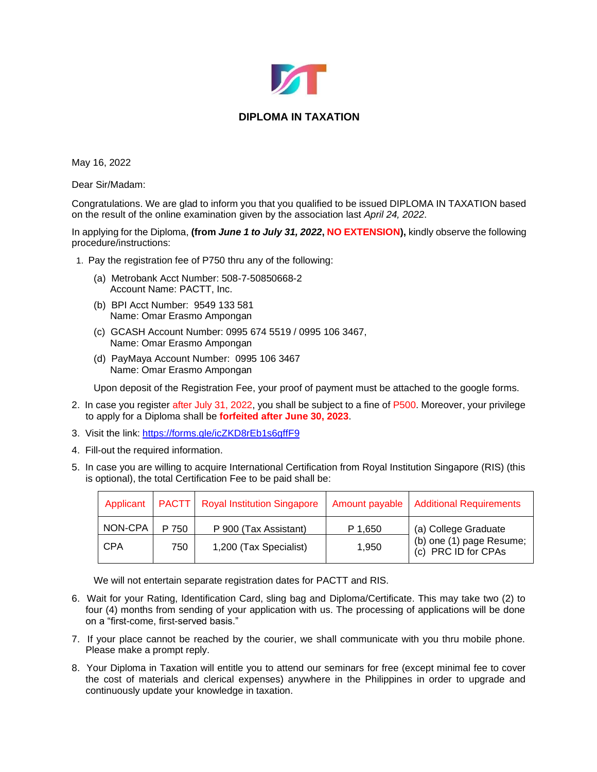

## **DIPLOMA IN TAXATION**

May 16, 2022

Dear Sir/Madam:

Congratulations. We are glad to inform you that you qualified to be issued DIPLOMA IN TAXATION based on the result of the online examination given by the association last *April 24, 2022*.

In applying for the Diploma, **(from** *June 1 to July 31, 2022***, NO EXTENSION),** kindly observe the following procedure/instructions:

1. Pay the registration fee of P750 thru any of the following:

- (a) Metrobank Acct Number: 508-7-50850668-2 Account Name: PACTT, Inc.
- (b) BPI Acct Number: 9549 133 581 Name: Omar Erasmo Ampongan
- (c) GCASH Account Number: 0995 674 5519 / 0995 106 3467, Name: Omar Erasmo Ampongan
- (d) PayMaya Account Number: 0995 106 3467 Name: Omar Erasmo Ampongan

Upon deposit of the Registration Fee, your proof of payment must be attached to the google forms.

- 2. In case you register after July 31, 2022, you shall be subject to a fine of P500. Moreover, your privilege to apply for a Diploma shall be **forfeited after June 30, 2023**.
- 3. Visit the link: <https://forms.gle/icZKD8rEb1s6gffF9>
- 4. Fill-out the required information.
- 5. In case you are willing to acquire International Certification from Royal Institution Singapore (RIS) (this is optional), the total Certification Fee to be paid shall be:

|            |       | Applicant   PACTT   Royal Institution Singapore | Amount payable | <b>Additional Requirements</b>                                          |
|------------|-------|-------------------------------------------------|----------------|-------------------------------------------------------------------------|
| NON-CPA    | P 750 | P 900 (Tax Assistant)                           | P 1,650        | (a) College Graduate<br>(b) one (1) page Resume;<br>(c) PRC ID for CPAs |
| <b>CPA</b> | 750   | 1,200 (Tax Specialist)                          | 1,950          |                                                                         |

We will not entertain separate registration dates for PACTT and RIS.

- 6. Wait for your Rating, Identification Card, sling bag and Diploma/Certificate. This may take two (2) to four (4) months from sending of your application with us. The processing of applications will be done on a "first-come, first-served basis."
- 7. If your place cannot be reached by the courier, we shall communicate with you thru mobile phone. Please make a prompt reply.
- 8. Your Diploma in Taxation will entitle you to attend our seminars for free (except minimal fee to cover the cost of materials and clerical expenses) anywhere in the Philippines in order to upgrade and continuously update your knowledge in taxation.